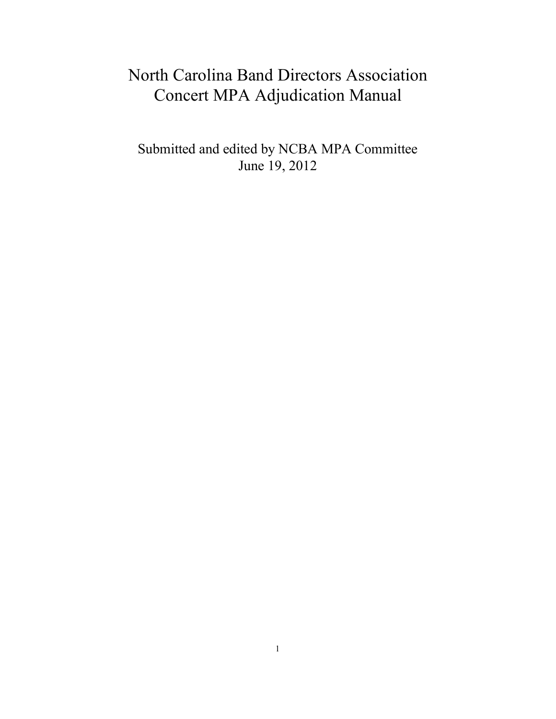# North Carolina Band Directors Association Concert MPA Adjudication Manual

Submitted and edited by NCBA MPA Committee June 19, 2012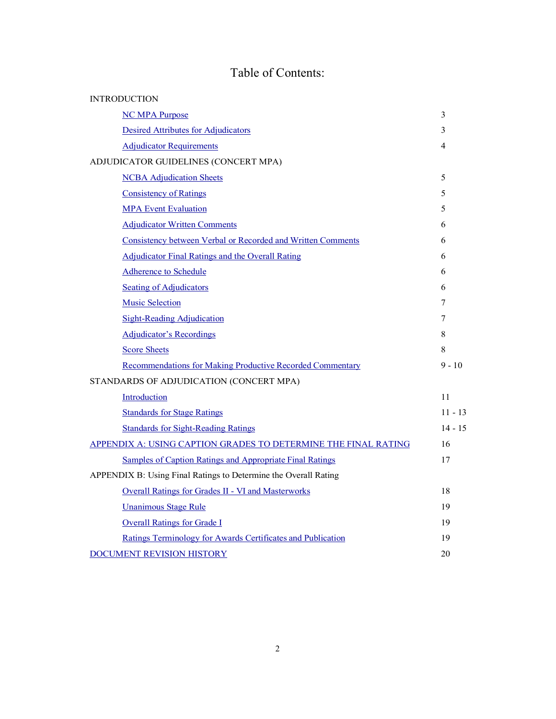# Table of Contents:

| <b>INTRODUCTION</b>                                              |           |
|------------------------------------------------------------------|-----------|
| <b>NC MPA Purpose</b>                                            | 3         |
| <b>Desired Attributes for Adjudicators</b>                       | 3         |
| <b>Adjudicator Requirements</b>                                  | 4         |
| ADJUDICATOR GUIDELINES (CONCERT MPA)                             |           |
| <b>NCBA</b> Adjudication Sheets                                  | 5         |
| <b>Consistency of Ratings</b>                                    | 5         |
| <b>MPA</b> Event Evaluation                                      | 5         |
| <b>Adjudicator Written Comments</b>                              | 6         |
| Consistency between Verbal or Recorded and Written Comments      | 6         |
| <b>Adjudicator Final Ratings and the Overall Rating</b>          | 6         |
| <b>Adherence to Schedule</b>                                     | 6         |
| <b>Seating of Adjudicators</b>                                   | 6         |
| <b>Music Selection</b>                                           | 7         |
| <b>Sight-Reading Adjudication</b>                                | 7         |
| <b>Adjudicator's Recordings</b>                                  | 8         |
| <b>Score Sheets</b>                                              | 8         |
| <b>Recommendations for Making Productive Recorded Commentary</b> | $9 - 10$  |
| STANDARDS OF ADJUDICATION (CONCERT MPA)                          |           |
| Introduction                                                     | 11        |
| <b>Standards for Stage Ratings</b>                               | $11 - 13$ |
| <b>Standards for Sight-Reading Ratings</b>                       | $14 - 15$ |
| APPENDIX A: USING CAPTION GRADES TO DETERMINE THE FINAL RATING   | 16        |
| Samples of Caption Ratings and Appropriate Final Ratings         | 17        |
| APPENDIX B: Using Final Ratings to Determine the Overall Rating  |           |
| <b>Overall Ratings for Grades II - VI and Masterworks</b>        | 18        |
| <b>Unanimous Stage Rule</b>                                      | 19        |
| <b>Overall Ratings for Grade I</b>                               | 19        |
| Ratings Terminology for Awards Certificates and Publication      | 19        |
| DOCUMENT REVISION HISTORY                                        | 20        |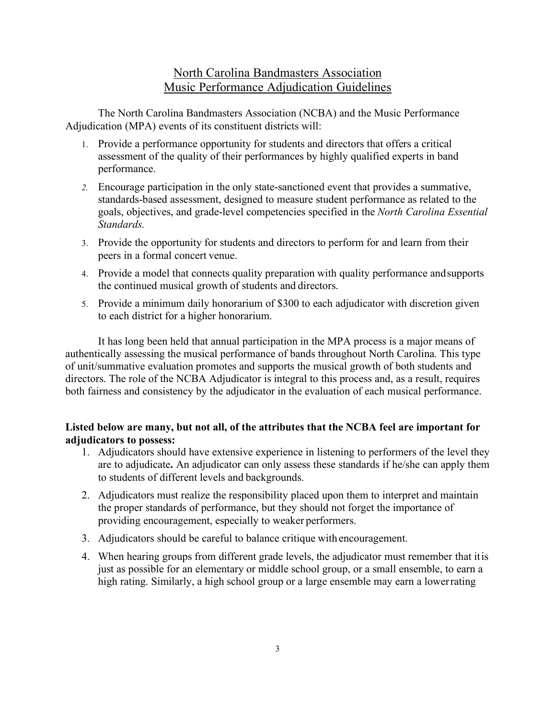# North Carolina Bandmasters Association Music Performance Adjudication Guidelines

The North Carolina Bandmasters Association (NCBA) and the Music Performance Adjudication (MPA) events of its constituent districts will:

- 1. Provide a performance opportunity for students and directors that offers a critical assessment of the quality of their performances by highly qualified experts in band performance.
- *2.* Encourage participation in the only state-sanctioned event that provides a summative, standards-based assessment, designed to measure student performance as related to the goals, objectives, and grade-level competencies specified in the *North Carolina Essential Standards.*
- 3. Provide the opportunity for students and directors to perform for and learn from their peers in a formal concert venue.
- 4. Provide a model that connects quality preparation with quality performance andsupports the continued musical growth of students and directors.
- 5. Provide a minimum daily honorarium of \$300 to each adjudicator with discretion given to each district for a higher honorarium.

It has long been held that annual participation in the MPA process is a major means of authentically assessing the musical performance of bands throughout North Carolina. This type of unit/summative evaluation promotes and supports the musical growth of both students and directors. The role of the NCBA Adjudicator is integral to this process and, as a result, requires both fairness and consistency by the adjudicator in the evaluation of each musical performance.

### **Listed below are many, but not all, of the attributes that the NCBA feel are important for adjudicators to possess:**

- 1. Adjudicators should have extensive experience in listening to performers of the level they are to adjudicate**.** An adjudicator can only assess these standards if he/she can apply them to students of different levels and backgrounds.
- 2. Adjudicators must realize the responsibility placed upon them to interpret and maintain the proper standards of performance, but they should not forget the importance of providing encouragement, especially to weaker performers.
- 3. Adjudicators should be careful to balance critique with encouragement.
- 4. When hearing groups from different grade levels, the adjudicator must remember that itis just as possible for an elementary or middle school group, or a small ensemble, to earn a high rating. Similarly, a high school group or a large ensemble may earn a lowerrating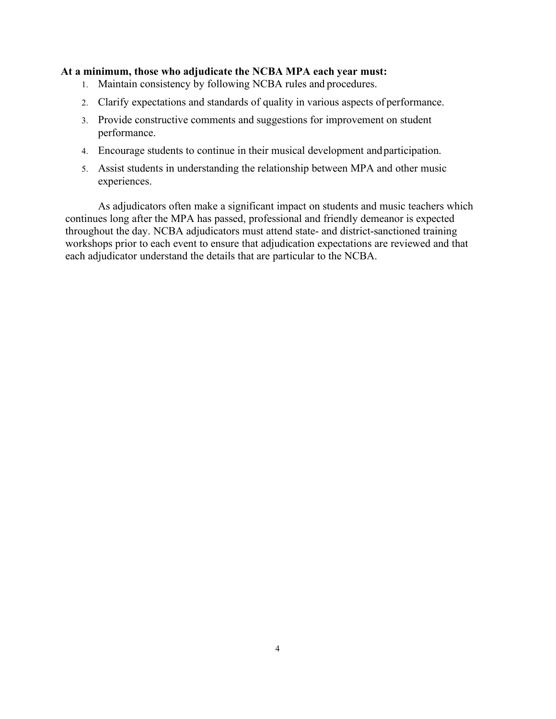#### **At a minimum, those who adjudicate the NCBA MPA each year must:**

- 1. Maintain consistency by following NCBA rules and procedures.
- 2. Clarify expectations and standards of quality in various aspects of performance.
- 3. Provide constructive comments and suggestions for improvement on student performance.
- 4. Encourage students to continue in their musical development andparticipation.
- 5. Assist students in understanding the relationship between MPA and other music experiences.

As adjudicators often make a significant impact on students and music teachers which continues long after the MPA has passed, professional and friendly demeanor is expected throughout the day. NCBA adjudicators must attend state- and district-sanctioned training workshops prior to each event to ensure that adjudication expectations are reviewed and that each adjudicator understand the details that are particular to the NCBA.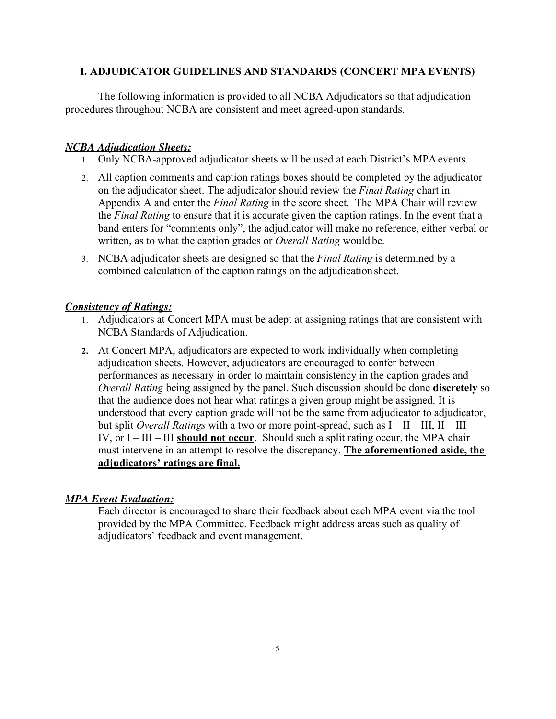### **I. ADJUDICATOR GUIDELINES AND STANDARDS (CONCERT MPA EVENTS)**

The following information is provided to all NCBA Adjudicators so that adjudication procedures throughout NCBA are consistent and meet agreed-upon standards.

### *NCBA Adjudication Sheets:*

- 1. Only NCBA-approved adjudicator sheets will be used at each District's MPA events.
- 2. All caption comments and caption ratings boxes should be completed by the adjudicator on the adjudicator sheet. The adjudicator should review the *Final Rating* chart in Appendix A and enter the *Final Rating* in the score sheet. The MPA Chair will review the *Final Rating* to ensure that it is accurate given the caption ratings. In the event that a band enters for "comments only", the adjudicator will make no reference, either verbal or written, as to what the caption grades or *Overall Rating* would be.
- 3. NCBA adjudicator sheets are designed so that the *Final Rating* is determined by a combined calculation of the caption ratings on the adjudicationsheet.

### *Consistency of Ratings:*

- 1. Adjudicators at Concert MPA must be adept at assigning ratings that are consistent with NCBA Standards of Adjudication.
- **2.** At Concert MPA, adjudicators are expected to work individually when completing adjudication sheets. However, adjudicators are encouraged to confer between performances as necessary in order to maintain consistency in the caption grades and *Overall Rating* being assigned by the panel. Such discussion should be done **discretely** so that the audience does not hear what ratings a given group might be assigned. It is understood that every caption grade will not be the same from adjudicator to adjudicator, but split *Overall Ratings* with a two or more point-spread, such as I – II – III, II – III – IV, or I – III – III **should not occur**. Should such a split rating occur, the MPA chair must intervene in an attempt to resolve the discrepancy. **The aforementioned aside, the adjudicators' ratings are final.**

### *MPA Event Evaluation:*

Each director is encouraged to share their feedback about each MPA event via the tool provided by the MPA Committee. Feedback might address areas such as quality of adjudicators' feedback and event management.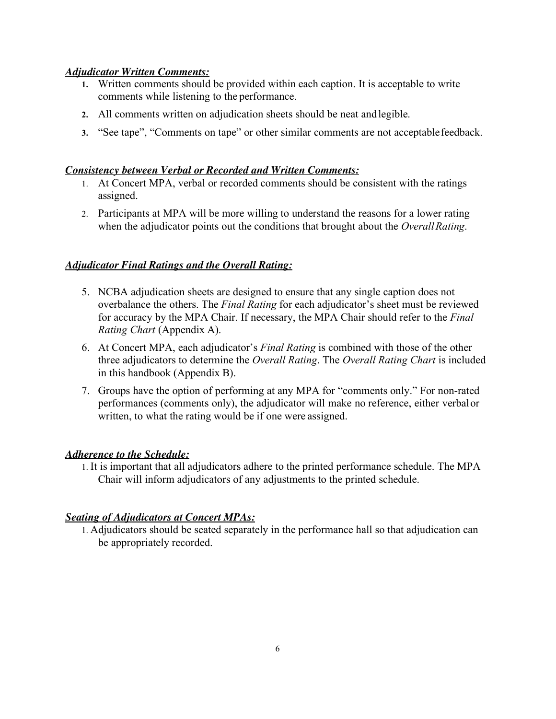### *Adjudicator Written Comments:*

- **1.** Written comments should be provided within each caption. It is acceptable to write comments while listening to the performance.
- **2.** All comments written on adjudication sheets should be neat andlegible.
- **3.** "See tape", "Comments on tape" or other similar comments are not acceptablefeedback.

### *Consistency between Verbal or Recorded and Written Comments:*

- 1. At Concert MPA, verbal or recorded comments should be consistent with the ratings assigned.
- 2. Participants at MPA will be more willing to understand the reasons for a lower rating when the adjudicator points out the conditions that brought about the *Overall Rating*.

### *Adjudicator Final Ratings and the Overall Rating:*

- 5. NCBA adjudication sheets are designed to ensure that any single caption does not overbalance the others. The *Final Rating* for each adjudicator's sheet must be reviewed for accuracy by the MPA Chair. If necessary, the MPA Chair should refer to the *Final Rating Chart* (Appendix A).
- 6. At Concert MPA, each adjudicator's *Final Rating* is combined with those of the other three adjudicators to determine the *Overall Rating*. The *Overall Rating Chart* is included in this handbook (Appendix B).
- 7. Groups have the option of performing at any MPA for "comments only." For non-rated performances (comments only), the adjudicator will make no reference, either verbalor written, to what the rating would be if one were assigned.

### *Adherence to the Schedule:*

1. It is important that all adjudicators adhere to the printed performance schedule. The MPA Chair will inform adjudicators of any adjustments to the printed schedule.

### *Seating of Adjudicators at Concert MPAs:*

1. Adjudicators should be seated separately in the performance hall so that adjudication can be appropriately recorded.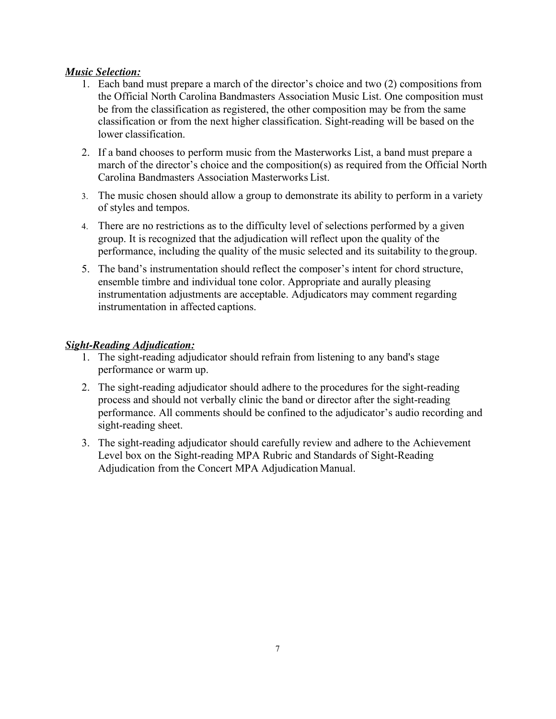### *Music Selection:*

- 1. Each band must prepare a march of the director's choice and two (2) compositions from the Official North Carolina Bandmasters Association Music List. One composition must be from the classification as registered, the other composition may be from the same classification or from the next higher classification. Sight-reading will be based on the lower classification.
- 2. If a band chooses to perform music from the Masterworks List, a band must prepare a march of the director's choice and the composition(s) as required from the Official North Carolina Bandmasters Association Masterworks List.
- 3. The music chosen should allow a group to demonstrate its ability to perform in a variety of styles and tempos.
- 4. There are no restrictions as to the difficulty level of selections performed by a given group. It is recognized that the adjudication will reflect upon the quality of the performance, including the quality of the music selected and its suitability to thegroup.
- 5. The band's instrumentation should reflect the composer's intent for chord structure, ensemble timbre and individual tone color. Appropriate and aurally pleasing instrumentation adjustments are acceptable. Adjudicators may comment regarding instrumentation in affected captions.

### *Sight-Reading Adjudication:*

- 1. The sight-reading adjudicator should refrain from listening to any band's stage performance or warm up.
- 2. The sight-reading adjudicator should adhere to the procedures for the sight-reading process and should not verbally clinic the band or director after the sight-reading performance. All comments should be confined to the adjudicator's audio recording and sight-reading sheet.
- 3. The sight-reading adjudicator should carefully review and adhere to the Achievement Level box on the Sight-reading MPA Rubric and Standards of Sight-Reading Adjudication from the Concert MPA Adjudication Manual.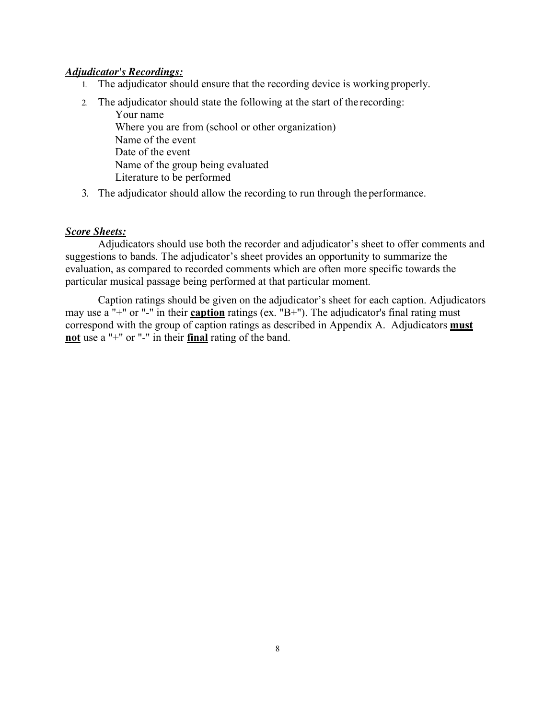#### *Adjudicator's Recordings:*

- 1. The adjudicator should ensure that the recording device is working properly.
- 2. The adjudicator should state the following at the start of the recording: Your name Where you are from (school or other organization) Name of the event Date of the event Name of the group being evaluated Literature to be performed
- 3. The adjudicator should allow the recording to run through the performance.

#### *Score Sheets:*

Adjudicators should use both the recorder and adjudicator's sheet to offer comments and suggestions to bands. The adjudicator's sheet provides an opportunity to summarize the evaluation, as compared to recorded comments which are often more specific towards the particular musical passage being performed at that particular moment.

Caption ratings should be given on the adjudicator's sheet for each caption. Adjudicators may use a "+" or "-" in their **caption** ratings (ex. "B+"). The adjudicator's final rating must correspond with the group of caption ratings as described in Appendix A. Adjudicators **must not** use a "+" or "-" in their **final** rating of the band.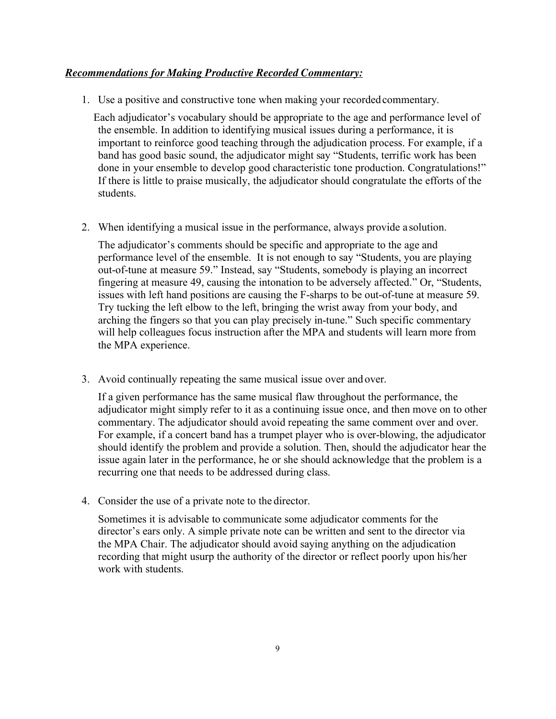### *Recommendations for Making Productive Recorded Commentary:*

1. Use a positive and constructive tone when making your recordedcommentary.

Each adjudicator's vocabulary should be appropriate to the age and performance level of the ensemble. In addition to identifying musical issues during a performance, it is important to reinforce good teaching through the adjudication process. For example, if a band has good basic sound, the adjudicator might say "Students, terrific work has been done in your ensemble to develop good characteristic tone production. Congratulations!" If there is little to praise musically, the adjudicator should congratulate the efforts of the students.

2. When identifying a musical issue in the performance, always provide a solution.

The adjudicator's comments should be specific and appropriate to the age and performance level of the ensemble. It is not enough to say "Students, you are playing out-of-tune at measure 59." Instead, say "Students, somebody is playing an incorrect fingering at measure 49, causing the intonation to be adversely affected." Or, "Students, issues with left hand positions are causing the F-sharps to be out-of-tune at measure 59. Try tucking the left elbow to the left, bringing the wrist away from your body, and arching the fingers so that you can play precisely in-tune." Such specific commentary will help colleagues focus instruction after the MPA and students will learn more from the MPA experience.

3. Avoid continually repeating the same musical issue over and over.

If a given performance has the same musical flaw throughout the performance, the adjudicator might simply refer to it as a continuing issue once, and then move on to other commentary. The adjudicator should avoid repeating the same comment over and over. For example, if a concert band has a trumpet player who is over-blowing, the adjudicator should identify the problem and provide a solution. Then, should the adjudicator hear the issue again later in the performance, he or she should acknowledge that the problem is a recurring one that needs to be addressed during class.

4. Consider the use of a private note to the director.

Sometimes it is advisable to communicate some adjudicator comments for the director's ears only. A simple private note can be written and sent to the director via the MPA Chair. The adjudicator should avoid saying anything on the adjudication recording that might usurp the authority of the director or reflect poorly upon his/her work with students.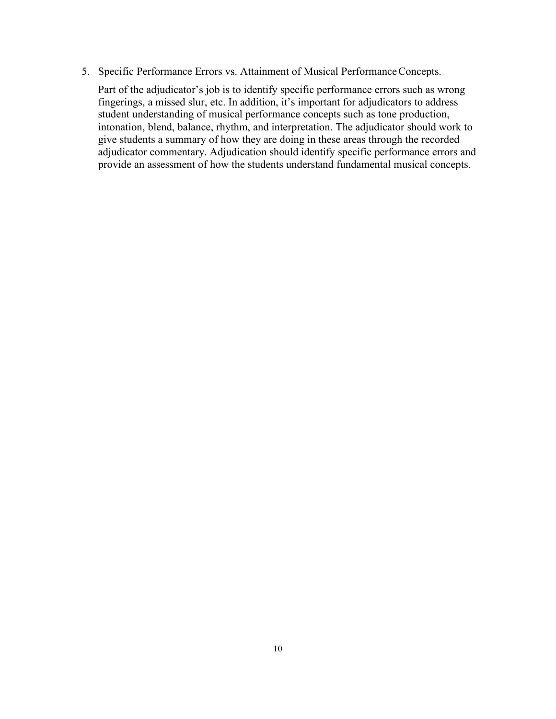5. Specific Performance Errors vs. Attainment of Musical Performance Concepts.

Part of the adjudicator's job is to identify specific performance errors such as wrong fingerings, a missed slur, etc. In addition, it's important for adjudicators to address student understanding of musical performance concepts such as tone production, intonation, blend, balance, rhythm, and interpretation. The adjudicator should work to give students a summary of how they are doing in these areas through the recorded adjudicator commentary. Adjudication should identify specific performance errors and provide an assessment of how the students understand fundamental musical concepts.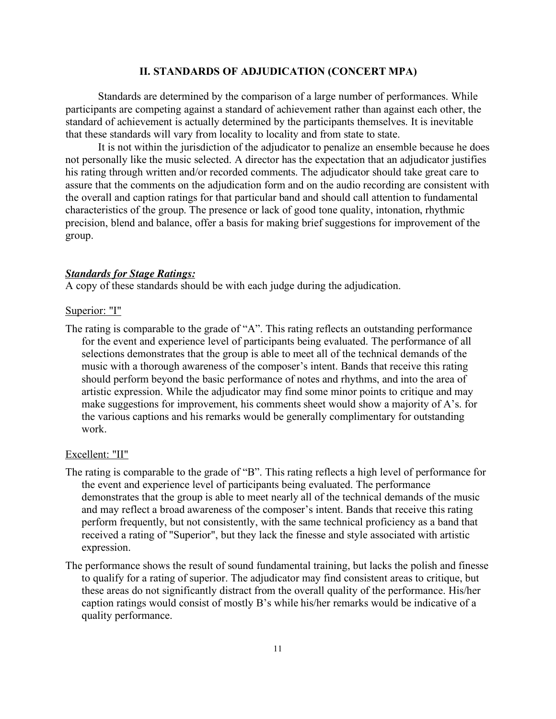#### **II. STANDARDS OF ADJUDICATION (CONCERT MPA)**

Standards are determined by the comparison of a large number of performances. While participants are competing against a standard of achievement rather than against each other, the standard of achievement is actually determined by the participants themselves. It is inevitable that these standards will vary from locality to locality and from state to state.

It is not within the jurisdiction of the adjudicator to penalize an ensemble because he does not personally like the music selected. A director has the expectation that an adjudicator justifies his rating through written and/or recorded comments. The adjudicator should take great care to assure that the comments on the adjudication form and on the audio recording are consistent with the overall and caption ratings for that particular band and should call attention to fundamental characteristics of the group. The presence or lack of good tone quality, intonation, rhythmic precision, blend and balance, offer a basis for making brief suggestions for improvement of the group.

#### *Standards for Stage Ratings:*

A copy of these standards should be with each judge during the adjudication.

#### Superior: "I"

The rating is comparable to the grade of "A". This rating reflects an outstanding performance for the event and experience level of participants being evaluated. The performance of all selections demonstrates that the group is able to meet all of the technical demands of the music with a thorough awareness of the composer's intent. Bands that receive this rating should perform beyond the basic performance of notes and rhythms, and into the area of artistic expression. While the adjudicator may find some minor points to critique and may make suggestions for improvement, his comments sheet would show a majority of A's. for the various captions and his remarks would be generally complimentary for outstanding work.

#### Excellent: "II"

- The rating is comparable to the grade of "B". This rating reflects a high level of performance for the event and experience level of participants being evaluated. The performance demonstrates that the group is able to meet nearly all of the technical demands of the music and may reflect a broad awareness of the composer's intent. Bands that receive this rating perform frequently, but not consistently, with the same technical proficiency as a band that received a rating of "Superior", but they lack the finesse and style associated with artistic expression.
- The performance shows the result of sound fundamental training, but lacks the polish and finesse to qualify for a rating of superior. The adjudicator may find consistent areas to critique, but these areas do not significantly distract from the overall quality of the performance. His/her caption ratings would consist of mostly B's while his/her remarks would be indicative of a quality performance.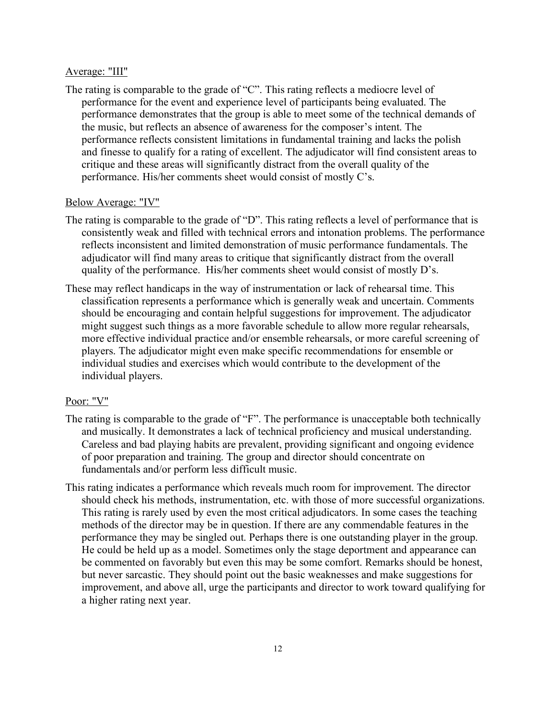#### Average: "III"

The rating is comparable to the grade of "C". This rating reflects a mediocre level of performance for the event and experience level of participants being evaluated. The performance demonstrates that the group is able to meet some of the technical demands of the music, but reflects an absence of awareness for the composer's intent. The performance reflects consistent limitations in fundamental training and lacks the polish and finesse to qualify for a rating of excellent. The adjudicator will find consistent areas to critique and these areas will significantly distract from the overall quality of the performance. His/her comments sheet would consist of mostly C's.

#### Below Average: "IV"

- The rating is comparable to the grade of "D". This rating reflects a level of performance that is consistently weak and filled with technical errors and intonation problems. The performance reflects inconsistent and limited demonstration of music performance fundamentals. The adjudicator will find many areas to critique that significantly distract from the overall quality of the performance. His/her comments sheet would consist of mostly D's.
- These may reflect handicaps in the way of instrumentation or lack of rehearsal time. This classification represents a performance which is generally weak and uncertain. Comments should be encouraging and contain helpful suggestions for improvement. The adjudicator might suggest such things as a more favorable schedule to allow more regular rehearsals, more effective individual practice and/or ensemble rehearsals, or more careful screening of players. The adjudicator might even make specific recommendations for ensemble or individual studies and exercises which would contribute to the development of the individual players.

### Poor: "V"

- The rating is comparable to the grade of "F". The performance is unacceptable both technically and musically. It demonstrates a lack of technical proficiency and musical understanding. Careless and bad playing habits are prevalent, providing significant and ongoing evidence of poor preparation and training. The group and director should concentrate on fundamentals and/or perform less difficult music.
- This rating indicates a performance which reveals much room for improvement. The director should check his methods, instrumentation, etc. with those of more successful organizations. This rating is rarely used by even the most critical adjudicators. In some cases the teaching methods of the director may be in question. If there are any commendable features in the performance they may be singled out. Perhaps there is one outstanding player in the group. He could be held up as a model. Sometimes only the stage deportment and appearance can be commented on favorably but even this may be some comfort. Remarks should be honest, but never sarcastic. They should point out the basic weaknesses and make suggestions for improvement, and above all, urge the participants and director to work toward qualifying for a higher rating next year.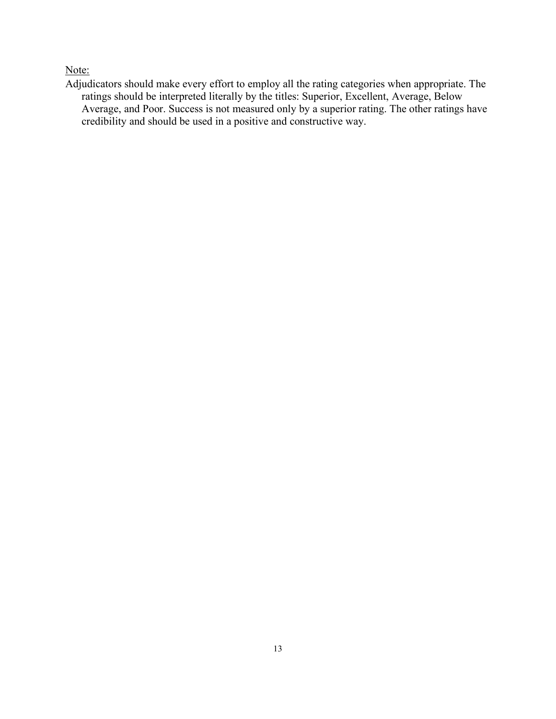Note:

Adjudicators should make every effort to employ all the rating categories when appropriate. The ratings should be interpreted literally by the titles: Superior, Excellent, Average, Below Average, and Poor. Success is not measured only by a superior rating. The other ratings have credibility and should be used in a positive and constructive way.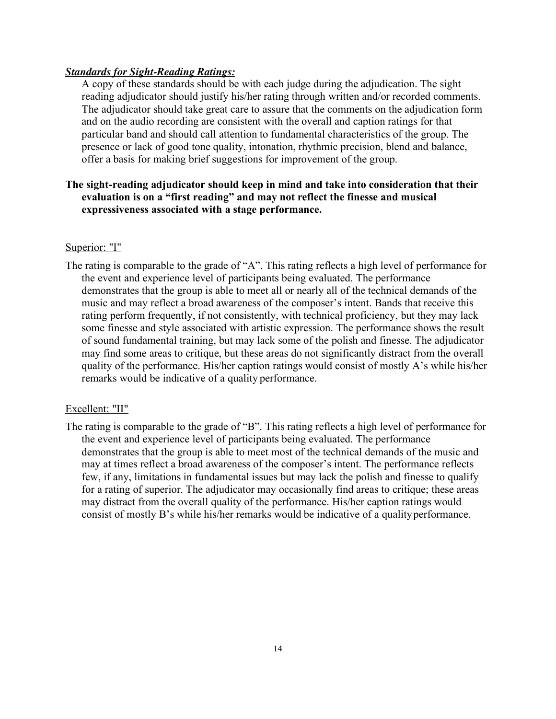### *Standards for Sight-Reading Ratings:*

A copy of these standards should be with each judge during the adjudication. The sight reading adjudicator should justify his/her rating through written and/or recorded comments. The adjudicator should take great care to assure that the comments on the adjudication form and on the audio recording are consistent with the overall and caption ratings for that particular band and should call attention to fundamental characteristics of the group. The presence or lack of good tone quality, intonation, rhythmic precision, blend and balance, offer a basis for making brief suggestions for improvement of the group.

### **The sight-reading adjudicator should keep in mind and take into consideration that their evaluation is on a "first reading" and may not reflect the finesse and musical expressiveness associated with a stage performance.**

### Superior: "I"

The rating is comparable to the grade of "A". This rating reflects a high level of performance for the event and experience level of participants being evaluated. The performance demonstrates that the group is able to meet all or nearly all of the technical demands of the music and may reflect a broad awareness of the composer's intent. Bands that receive this rating perform frequently, if not consistently, with technical proficiency, but they may lack some finesse and style associated with artistic expression. The performance shows the result of sound fundamental training, but may lack some of the polish and finesse. The adjudicator may find some areas to critique, but these areas do not significantly distract from the overall quality of the performance. His/her caption ratings would consist of mostly A's while his/her remarks would be indicative of a quality performance.

### Excellent: "II"

The rating is comparable to the grade of "B". This rating reflects a high level of performance for the event and experience level of participants being evaluated. The performance demonstrates that the group is able to meet most of the technical demands of the music and may at times reflect a broad awareness of the composer's intent. The performance reflects few, if any, limitations in fundamental issues but may lack the polish and finesse to qualify for a rating of superior. The adjudicator may occasionally find areas to critique; these areas may distract from the overall quality of the performance. His/her caption ratings would consist of mostly B's while his/her remarks would be indicative of a qualityperformance.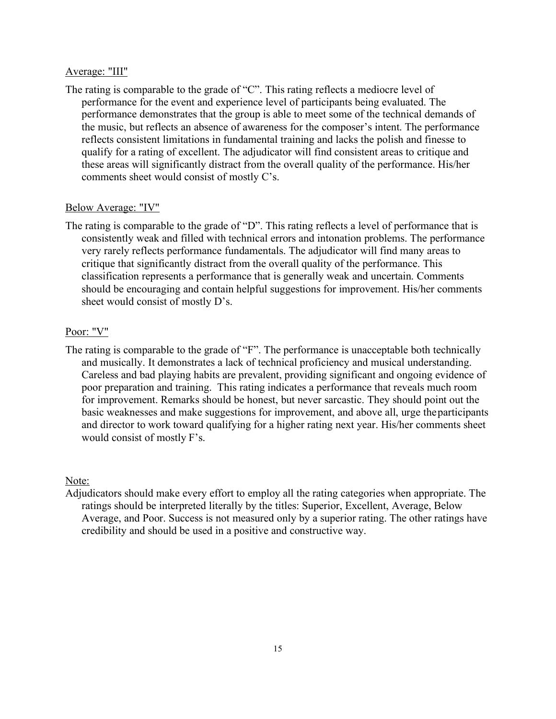#### Average: "III"

The rating is comparable to the grade of "C". This rating reflects a mediocre level of performance for the event and experience level of participants being evaluated. The performance demonstrates that the group is able to meet some of the technical demands of the music, but reflects an absence of awareness for the composer's intent. The performance reflects consistent limitations in fundamental training and lacks the polish and finesse to qualify for a rating of excellent. The adjudicator will find consistent areas to critique and these areas will significantly distract from the overall quality of the performance. His/her comments sheet would consist of mostly C's.

#### Below Average: "IV"

The rating is comparable to the grade of "D". This rating reflects a level of performance that is consistently weak and filled with technical errors and intonation problems. The performance very rarely reflects performance fundamentals. The adjudicator will find many areas to critique that significantly distract from the overall quality of the performance. This classification represents a performance that is generally weak and uncertain. Comments should be encouraging and contain helpful suggestions for improvement. His/her comments sheet would consist of mostly D's.

#### Poor: "V"

The rating is comparable to the grade of "F". The performance is unacceptable both technically and musically. It demonstrates a lack of technical proficiency and musical understanding. Careless and bad playing habits are prevalent, providing significant and ongoing evidence of poor preparation and training. This rating indicates a performance that reveals much room for improvement. Remarks should be honest, but never sarcastic. They should point out the basic weaknesses and make suggestions for improvement, and above all, urge theparticipants and director to work toward qualifying for a higher rating next year. His/her comments sheet would consist of mostly F's.

#### Note:

Adjudicators should make every effort to employ all the rating categories when appropriate. The ratings should be interpreted literally by the titles: Superior, Excellent, Average, Below Average, and Poor. Success is not measured only by a superior rating. The other ratings have credibility and should be used in a positive and constructive way.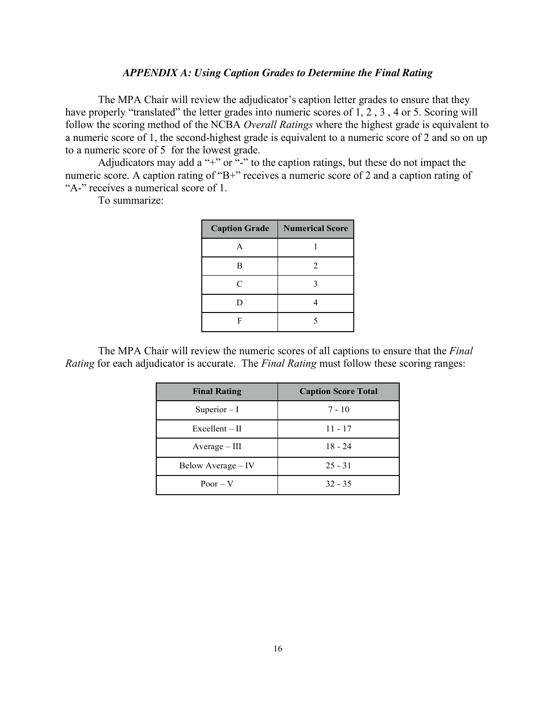#### *APPENDIX A: Using Caption Grades to Determine the Final Rating*

The MPA Chair will review the adjudicator's caption letter grades to ensure that they have properly "translated" the letter grades into numeric scores of 1, 2, 3, 4 or 5. Scoring will follow the scoring method of the NCBA *Overall Ratings* where the highest grade is equivalent to a numeric score of 1, the second-highest grade is equivalent to a numeric score of 2 and so on up to a numeric score of 5 for the lowest grade.

Adjudicators may add a "+" or "-" to the caption ratings, but these do not impact the numeric score. A caption rating of "B+" receives a numeric score of 2 and a caption rating of "A-" receives a numerical score of 1.

To summarize:

| <b>Caption Grade</b> | <b>Numerical Score</b> |
|----------------------|------------------------|
| A                    |                        |
| B                    | 2                      |
| $\mathcal{C}$        | 3                      |
| D                    |                        |
| F                    | 5                      |

The MPA Chair will review the numeric scores of all captions to ensure that the *Final Rating* for each adjudicator is accurate. The *Final Rating* must follow these scoring ranges:

| <b>Final Rating</b> | <b>Caption Score Total</b> |
|---------------------|----------------------------|
| Superior $-I$       | $7 - 10$                   |
| $Excellent - II$    | $11 - 17$                  |
| $Average - III$     | $18 - 24$                  |
| Below Average – IV  | $25 - 31$                  |
| $P0or - V$          | $32 - 35$                  |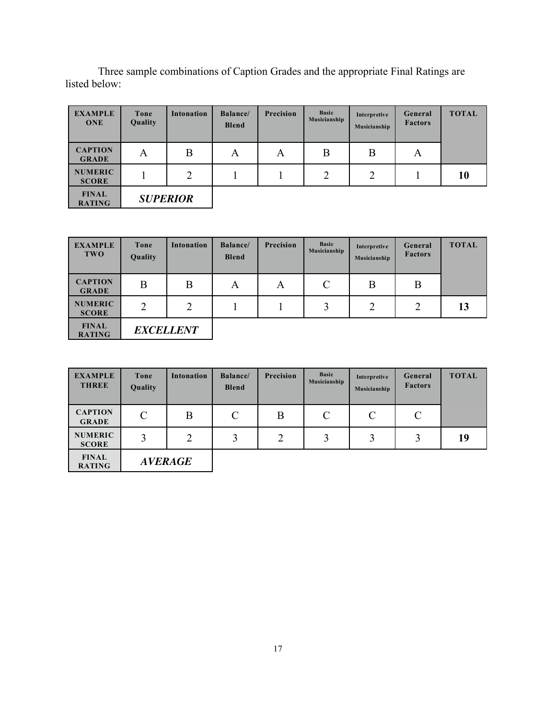Three sample combinations of Caption Grades and the appropriate Final Ratings are listed below:

| <b>EXAMPLE</b><br><b>ONE</b>   | Tone<br>Quality | Intonation      | <b>Balance</b><br><b>Blend</b> | Precision | <b>Basic</b><br>Musicianship | Interpretive<br>Musicianship | General<br><b>Factors</b> | <b>TOTAL</b> |
|--------------------------------|-----------------|-----------------|--------------------------------|-----------|------------------------------|------------------------------|---------------------------|--------------|
| <b>CAPTION</b><br><b>GRADE</b> | A               | B               | A                              | A         | B                            | B                            | A                         |              |
| <b>NUMERIC</b><br><b>SCORE</b> |                 | $\mathcal{D}$   |                                |           | $\overline{2}$               | $\overline{2}$               |                           | 10           |
| <b>FINAL</b><br><b>RATING</b>  |                 | <b>SUPERIOR</b> |                                |           |                              |                              |                           |              |

| <b>EXAMPLE</b><br><b>TWO</b>   | Tone<br>Quality | <b>Intonation</b> | <b>Balance</b> /<br><b>Blend</b> | <b>Precision</b> | <b>Basic</b><br><b>Musicianship</b> | Interpretive<br>Musicianship | General<br><b>Factors</b> | <b>TOTAL</b> |
|--------------------------------|-----------------|-------------------|----------------------------------|------------------|-------------------------------------|------------------------------|---------------------------|--------------|
| <b>CAPTION</b><br><b>GRADE</b> | B               | B                 | A                                | A                | $\mathcal{C}$                       | B                            | B                         |              |
| <b>NUMERIC</b><br><b>SCORE</b> | $\overline{2}$  | $\overline{2}$    |                                  |                  | 3                                   | $\overline{2}$               | $\overline{2}$            | 13           |
| <b>FINAL</b><br><b>RATING</b>  |                 | <b>EXCELLENT</b>  |                                  |                  |                                     |                              |                           |              |

| <b>EXAMPLE</b><br><b>THREE</b> | Tone<br>Quality | <b>Intonation</b> | <b>Balance</b> /<br><b>Blend</b> | <b>Precision</b> | <b>Basic</b><br>Musicianship | Interpretive<br>Musicianship | General<br><b>Factors</b> | <b>TOTAL</b> |
|--------------------------------|-----------------|-------------------|----------------------------------|------------------|------------------------------|------------------------------|---------------------------|--------------|
| <b>CAPTION</b><br><b>GRADE</b> | $\mathcal{C}$   | B                 | $\mathcal{C}$                    | В                | $\mathcal{C}$                | C                            | $\mathcal{C}$             |              |
| <b>NUMERIC</b><br><b>SCORE</b> | 3               | C                 | 3                                | $\overline{2}$   | 3                            | 3                            |                           | 19           |
| <b>FINAL</b><br><b>RATING</b>  |                 | <b>AVERAGE</b>    |                                  |                  |                              |                              |                           |              |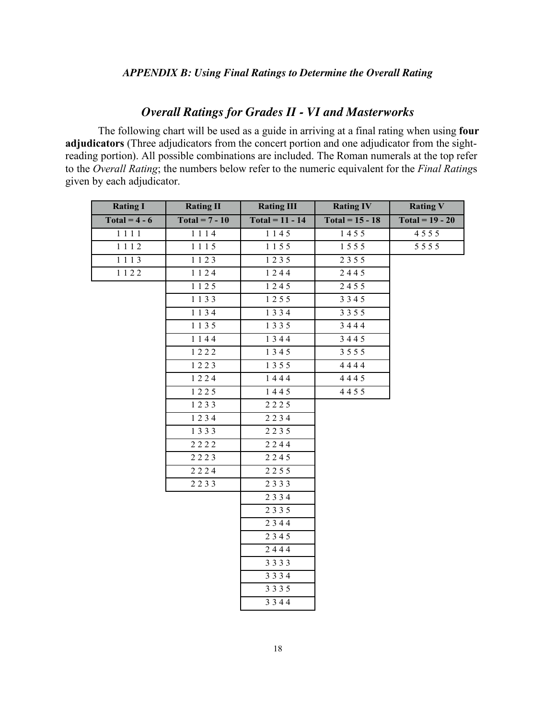# *Overall Ratings for Grades II - VI and Masterworks*

The following chart will be used as a guide in arriving at a final rating when using **four adjudicators** (Three adjudicators from the concert portion and one adjudicator from the sightreading portion). All possible combinations are included. The Roman numerals at the top refer to the *Overall Rating*; the numbers below refer to the numeric equivalent for the *Final Rating*s given by each adjudicator.

| <b>Rating I</b>        | <b>Rating II</b>                        | <b>Rating III</b> | <b>Rating IV</b>         | <b>Rating V</b>          |
|------------------------|-----------------------------------------|-------------------|--------------------------|--------------------------|
| $\text{Total} = 4 - 6$ | $\text{Total} = 7 - 10$                 | $Total = 11 - 14$ | $\text{Total} = 15 - 18$ | $\text{Total} = 19 - 20$ |
| 1111                   | 1114                                    | 1145              | 1455                     | 4555                     |
| 1112                   | 1115                                    | 1155              | 1555                     | 5 5 5 5                  |
| 1113                   | 1123                                    | 1235              | 2355                     |                          |
| 1122                   | 1124                                    | 1244              | 2445                     |                          |
|                        | 1125                                    | 1245              | 2455                     |                          |
|                        | 1133                                    | 1255              | 3345                     |                          |
|                        | 1134                                    | 1334              | 3 3 5 5                  |                          |
|                        | 1135                                    | 1 3 3 5           | 3444                     |                          |
|                        | 1144                                    | 1344              | 3445                     |                          |
|                        | 1222                                    | 1345              | 3555                     |                          |
|                        | 1223                                    | 1 3 5 5           | 4444                     |                          |
|                        | 1224                                    | 1444              | 4445                     |                          |
|                        | $1\overline{2\overline{2\overline{5}}}$ | 1445              | 4455                     |                          |
|                        | 1233                                    | 2225              |                          |                          |
|                        | 1234                                    | 2234              |                          |                          |
|                        | 1333                                    | 2235              |                          |                          |
|                        | 2222                                    | 2244              |                          |                          |
|                        | 2223                                    | 2245              |                          |                          |
|                        | 2224                                    | 2255              |                          |                          |
|                        | 2233                                    | 2333              |                          |                          |
|                        |                                         | 2334              |                          |                          |
|                        |                                         | 2335              |                          |                          |
|                        |                                         | 2344              |                          |                          |
|                        |                                         | 2345              |                          |                          |
|                        |                                         | 2444              |                          |                          |
|                        |                                         | 3333              |                          |                          |
|                        |                                         | 3334              |                          |                          |
|                        |                                         | 3335              |                          |                          |
|                        |                                         | 3344              |                          |                          |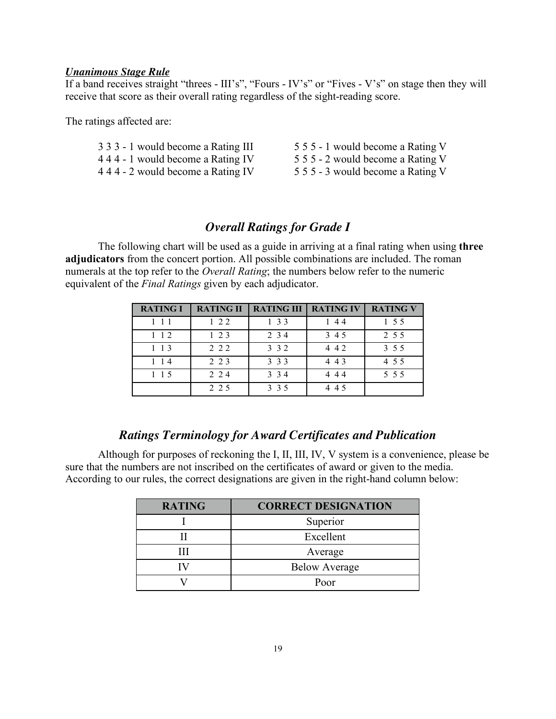#### *Unanimous Stage Rule*

If a band receives straight "threes - III's", "Fours - IV's" or "Fives - V's" on stage then they will receive that score as their overall rating regardless of the sight-reading score.

The ratings affected are:

| 3 3 3 - 1 would become a Rating III | 5 5 5 - 1 would become a Rating V |
|-------------------------------------|-----------------------------------|
| 444 - 1 would become a Rating IV    | 5 5 5 - 2 would become a Rating V |
| 444 - 2 would become a Rating IV    | 5 5 5 - 3 would become a Rating V |

## *Overall Ratings for Grade I*

The following chart will be used as a guide in arriving at a final rating when using **three adjudicators** from the concert portion. All possible combinations are included. The roman numerals at the top refer to the *Overall Rating*; the numbers below refer to the numeric equivalent of the *Final Ratings* given by each adjudicator.

| <b>RATING I</b> | <b>RATING II</b> | <b>RATING III   RATING IV</b> |       | <b>RATING V</b> |
|-----------------|------------------|-------------------------------|-------|-----------------|
| $1 \; 1 \; 1$   | $1 \t2 \t2$      | 1 3 3                         | 144   | 1 5 5           |
| $1 \; 1 \; 2$   | $1\,2\,3$        | 2 3 4                         | 3 4 5 | 2 5 5           |
| $1 \t13$        | 2 2 2            | 3 3 2                         | 4 4 2 | 3 5 5           |
| $1 \; 1 \; 4$   | 2 2 3            | 3 3 3                         | 4 4 3 | 4 5 5           |
| $1 \; 1 \; 5$   | 2 2 4            | 3 3 4                         | 444   | 5 5 5           |
|                 | 2 2 5            | 3 3 5                         | 4 4 5 |                 |

# *Ratings Terminology for Award Certificates and Publication*

Although for purposes of reckoning the I, II, III, IV, V system is a convenience, please be sure that the numbers are not inscribed on the certificates of award or given to the media. According to our rules, the correct designations are given in the right-hand column below:

| <b>RATING</b> | <b>CORRECT DESIGNATION</b> |
|---------------|----------------------------|
|               | Superior                   |
|               | Excellent                  |
|               | Average                    |
|               | <b>Below Average</b>       |
|               | Poor                       |